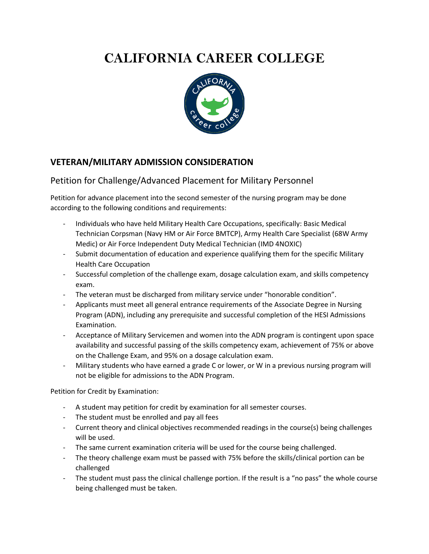## **CALIFORNIA CAREER COLLEGE**



## **VETERAN/MILITARY ADMISSION CONSIDERATION**

## Petition for Challenge/Advanced Placement for Military Personnel

Petition for advance placement into the second semester of the nursing program may be done according to the following conditions and requirements:

- Individuals who have held Military Health Care Occupations, specifically: Basic Medical Technician Corpsman (Navy HM or Air Force BMTCP), Army Health Care Specialist (68W Army Medic) or Air Force Independent Duty Medical Technician (IMD 4NOXIC)
- Submit documentation of education and experience qualifying them for the specific Military Health Care Occupation
- Successful completion of the challenge exam, dosage calculation exam, and skills competency exam.
- The veteran must be discharged from military service under "honorable condition".
- Applicants must meet all general entrance requirements of the Associate Degree in Nursing Program (ADN), including any prerequisite and successful completion of the HESI Admissions Examination.
- Acceptance of Military Servicemen and women into the ADN program is contingent upon space availability and successful passing of the skills competency exam, achievement of 75% or above on the Challenge Exam, and 95% on a dosage calculation exam.
- Military students who have earned a grade C or lower, or W in a previous nursing program will not be eligible for admissions to the ADN Program.

Petition for Credit by Examination:

- A student may petition for credit by examination for all semester courses.
- The student must be enrolled and pay all fees
- Current theory and clinical objectives recommended readings in the course(s) being challenges will be used.
- The same current examination criteria will be used for the course being challenged.
- The theory challenge exam must be passed with 75% before the skills/clinical portion can be challenged
- The student must pass the clinical challenge portion. If the result is a "no pass" the whole course being challenged must be taken.